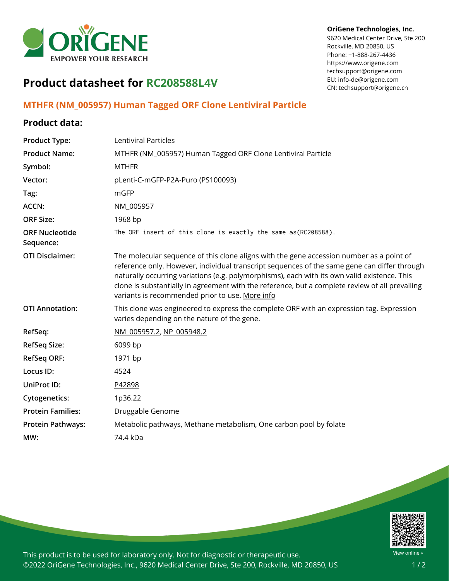

## **OriGene Technologies, Inc.**

9620 Medical Center Drive, Ste 200 Rockville, MD 20850, US Phone: +1-888-267-4436 https://www.origene.com techsupport@origene.com EU: info-de@origene.com CN: techsupport@origene.cn

## **Product datasheet for RC208588L4V**

## **MTHFR (NM\_005957) Human Tagged ORF Clone Lentiviral Particle**

## **Product data:**

| <b>Product Type:</b>               | Lentiviral Particles                                                                                                                                                                                                                                                                                                                                                                                                                           |
|------------------------------------|------------------------------------------------------------------------------------------------------------------------------------------------------------------------------------------------------------------------------------------------------------------------------------------------------------------------------------------------------------------------------------------------------------------------------------------------|
| <b>Product Name:</b>               | MTHFR (NM_005957) Human Tagged ORF Clone Lentiviral Particle                                                                                                                                                                                                                                                                                                                                                                                   |
| Symbol:                            | <b>MTHFR</b>                                                                                                                                                                                                                                                                                                                                                                                                                                   |
| Vector:                            | pLenti-C-mGFP-P2A-Puro (PS100093)                                                                                                                                                                                                                                                                                                                                                                                                              |
| Tag:                               | mGFP                                                                                                                                                                                                                                                                                                                                                                                                                                           |
| <b>ACCN:</b>                       | NM_005957                                                                                                                                                                                                                                                                                                                                                                                                                                      |
| <b>ORF Size:</b>                   | 1968 bp                                                                                                                                                                                                                                                                                                                                                                                                                                        |
| <b>ORF Nucleotide</b><br>Sequence: | The ORF insert of this clone is exactly the same as(RC208588).                                                                                                                                                                                                                                                                                                                                                                                 |
| <b>OTI Disclaimer:</b>             | The molecular sequence of this clone aligns with the gene accession number as a point of<br>reference only. However, individual transcript sequences of the same gene can differ through<br>naturally occurring variations (e.g. polymorphisms), each with its own valid existence. This<br>clone is substantially in agreement with the reference, but a complete review of all prevailing<br>variants is recommended prior to use. More info |
| <b>OTI Annotation:</b>             | This clone was engineered to express the complete ORF with an expression tag. Expression<br>varies depending on the nature of the gene.                                                                                                                                                                                                                                                                                                        |
| RefSeq:                            | NM 005957.2, NP 005948.2                                                                                                                                                                                                                                                                                                                                                                                                                       |
| <b>RefSeq Size:</b>                | 6099 bp                                                                                                                                                                                                                                                                                                                                                                                                                                        |
| <b>RefSeq ORF:</b>                 | 1971 bp                                                                                                                                                                                                                                                                                                                                                                                                                                        |
| Locus ID:                          | 4524                                                                                                                                                                                                                                                                                                                                                                                                                                           |
| UniProt ID:                        | P42898                                                                                                                                                                                                                                                                                                                                                                                                                                         |
| <b>Cytogenetics:</b>               | 1p36.22                                                                                                                                                                                                                                                                                                                                                                                                                                        |
| <b>Protein Families:</b>           | Druggable Genome                                                                                                                                                                                                                                                                                                                                                                                                                               |
| <b>Protein Pathways:</b>           | Metabolic pathways, Methane metabolism, One carbon pool by folate                                                                                                                                                                                                                                                                                                                                                                              |
| MW:                                | 74.4 kDa                                                                                                                                                                                                                                                                                                                                                                                                                                       |
|                                    |                                                                                                                                                                                                                                                                                                                                                                                                                                                |



This product is to be used for laboratory only. Not for diagnostic or therapeutic use. ©2022 OriGene Technologies, Inc., 9620 Medical Center Drive, Ste 200, Rockville, MD 20850, US